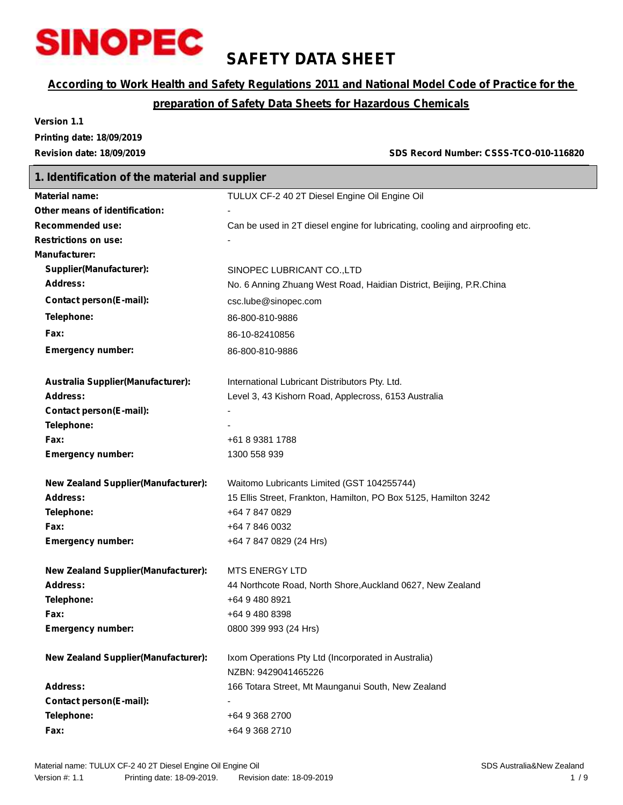

## **SAFETY DATA SHEET**

## *According to Work Health and Safety Regulations 2011 and National Model Code of Practice for the*

## *preparation of Safety Data Sheets for Hazardous Chemicals*

**Version 1.1 Printing date: 18/09/2019**

**Revision date: 18/09/2019 SDS Record Number: CSSS-TCO-010-116820**

| 1. Identification of the material and supplier |                                                                               |  |  |
|------------------------------------------------|-------------------------------------------------------------------------------|--|--|
| <b>Material name:</b>                          | TULUX CF-2 40 2T Diesel Engine Oil Engine Oil                                 |  |  |
| Other means of identification:                 |                                                                               |  |  |
| <b>Recommended use:</b>                        | Can be used in 2T diesel engine for lubricating, cooling and airproofing etc. |  |  |
| <b>Restrictions on use:</b>                    |                                                                               |  |  |
| <b>Manufacturer:</b>                           |                                                                               |  |  |
| Supplier(Manufacturer):                        | SINOPEC LUBRICANT CO., LTD                                                    |  |  |
| Address:                                       | No. 6 Anning Zhuang West Road, Haidian District, Beijing, P.R.China           |  |  |
| <b>Contact person(E-mail):</b>                 | csc.lube@sinopec.com                                                          |  |  |
| Telephone:                                     | 86-800-810-9886                                                               |  |  |
| Fax:                                           | 86-10-82410856                                                                |  |  |
| <b>Emergency number:</b>                       | 86-800-810-9886                                                               |  |  |
|                                                |                                                                               |  |  |
| Australia Supplier(Manufacturer):              | International Lubricant Distributors Pty. Ltd.                                |  |  |
| Address:                                       | Level 3, 43 Kishorn Road, Applecross, 6153 Australia                          |  |  |
| <b>Contact person(E-mail):</b><br>Telephone:   |                                                                               |  |  |
| Fax:                                           | +61 8 9381 1788                                                               |  |  |
| <b>Emergency number:</b>                       | 1300 558 939                                                                  |  |  |
|                                                |                                                                               |  |  |
| <b>New Zealand Supplier(Manufacturer):</b>     | Waitomo Lubricants Limited (GST 104255744)                                    |  |  |
| Address:                                       | 15 Ellis Street, Frankton, Hamilton, PO Box 5125, Hamilton 3242               |  |  |
| Telephone:                                     | +64 7 847 0829                                                                |  |  |
| Fax:                                           | +64 7 846 0032                                                                |  |  |
| <b>Emergency number:</b>                       | +64 7 847 0829 (24 Hrs)                                                       |  |  |
| <b>New Zealand Supplier(Manufacturer):</b>     | <b>MTS ENERGY LTD</b>                                                         |  |  |
| Address:                                       | 44 Northcote Road, North Shore, Auckland 0627, New Zealand                    |  |  |
| Telephone:                                     | +64 9 480 8921                                                                |  |  |
| Fax:                                           | +64 9 480 8398                                                                |  |  |
| <b>Emergency number:</b>                       | 0800 399 993 (24 Hrs)                                                         |  |  |
| <b>New Zealand Supplier(Manufacturer):</b>     | Ixom Operations Pty Ltd (Incorporated in Australia)                           |  |  |
|                                                | NZBN: 9429041465226                                                           |  |  |
| <b>Address:</b>                                | 166 Totara Street, Mt Maunganui South, New Zealand                            |  |  |
| <b>Contact person(E-mail):</b>                 |                                                                               |  |  |
| Telephone:                                     | +64 9 368 2700                                                                |  |  |
| Fax:                                           | +64 9 368 2710                                                                |  |  |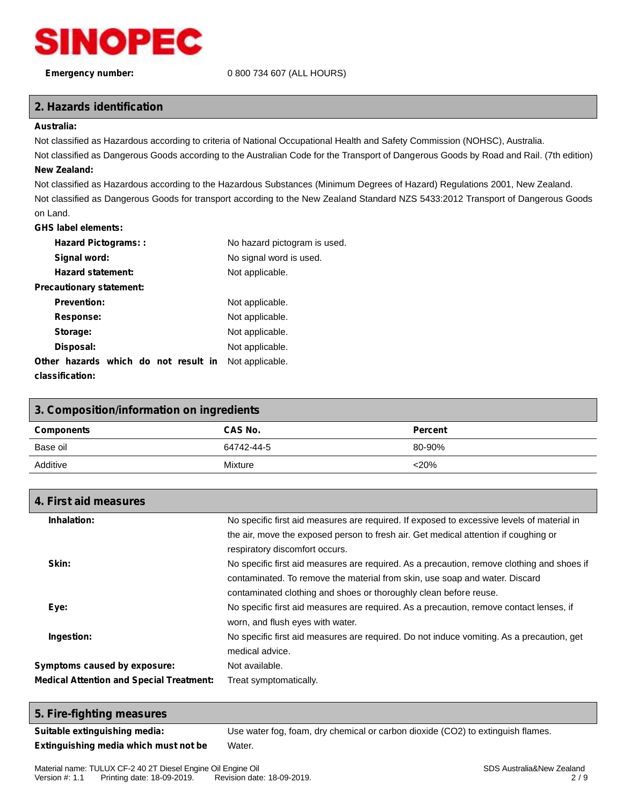

### **Emergency number:** 0 800 734 607 (ALL HOURS)

## **2. Hazards identification**

#### **Australia:**

Not classified as Hazardous according to criteria of National Occupational Health and Safety Commission (NOHSC), Australia.

Not classified as Dangerous Goods according to the Australian Code for the Transport of Dangerous Goods by Road and Rail. (7th edition) **New Zealand:**

Not classified as Hazardous according to the Hazardous Substances (Minimum Degrees of Hazard) Regulations 2001, New Zealand. Not classified as Dangerous Goods for transport according to the New Zealand Standard NZS 5433:2012 Transport of Dangerous Goods on Land.

#### **GHS label elements:**

| <b>Hazard Pictograms::</b>           | No hazard pictogram is used. |
|--------------------------------------|------------------------------|
| Signal word:                         | No signal word is used.      |
| <b>Hazard statement:</b>             | Not applicable.              |
| Precautionary statement:             |                              |
| <b>Prevention:</b>                   | Not applicable.              |
| Response:                            | Not applicable.              |
| Storage:                             | Not applicable.              |
| Disposal:                            | Not applicable.              |
| Other hazards which do not result in | Not applicable.              |
| classification:                      |                              |

| 3. Composition/information on ingredients |            |                |  |  |  |  |
|-------------------------------------------|------------|----------------|--|--|--|--|
| <b>Components</b>                         | CAS No.    | <b>Percent</b> |  |  |  |  |
| Base oil                                  | 64742-44-5 | 80-90%         |  |  |  |  |
| Additive<br>$<$ 20%<br>Mixture            |            |                |  |  |  |  |

| 4. First aid measures                           |                                                                                            |
|-------------------------------------------------|--------------------------------------------------------------------------------------------|
| Inhalation:                                     | No specific first aid measures are required. If exposed to excessive levels of material in |
|                                                 | the air, move the exposed person to fresh air. Get medical attention if coughing or        |
|                                                 | respiratory discomfort occurs.                                                             |
| Skin:                                           | No specific first aid measures are required. As a precaution, remove clothing and shoes if |
|                                                 | contaminated. To remove the material from skin, use soap and water. Discard                |
|                                                 | contaminated clothing and shoes or thoroughly clean before reuse.                          |
| Eye:                                            | No specific first aid measures are required. As a precaution, remove contact lenses, if    |
|                                                 | worn, and flush eyes with water.                                                           |
| Ingestion:                                      | No specific first aid measures are required. Do not induce vomiting. As a precaution, get  |
|                                                 | medical advice.                                                                            |
| Symptoms caused by exposure:                    | Not available.                                                                             |
| <b>Medical Attention and Special Treatment:</b> | Treat symptomatically.                                                                     |
|                                                 |                                                                                            |

### **5. Fire-fighting measures**

**Suitable extinguishing media:** Use water fog, foam, dry chemical or carbon dioxide (CO2) to extinguish flames. **Extinguishing media which must not be** Water.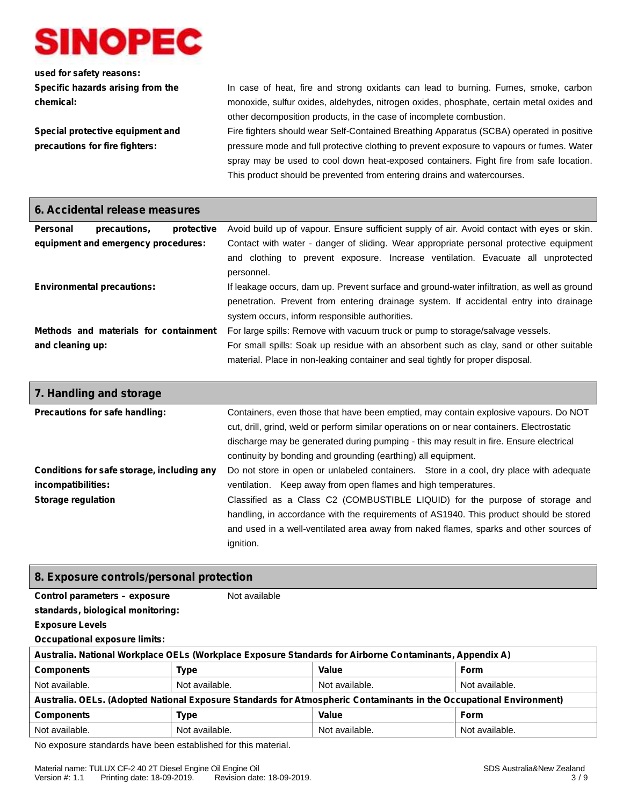

## **used for safety reasons: Specific hazards arising from the chemical:**

**Special protective equipment and precautions for fire fighters:**

In case of heat, fire and strong oxidants can lead to burning. Fumes, smoke, carbon monoxide, sulfur oxides, aldehydes, nitrogen oxides, phosphate, certain metal oxides and other decomposition products, in the case of incomplete combustion.

Fire fighters should wear Self-Contained Breathing Apparatus (SCBA) operated in positive pressure mode and full protective clothing to prevent exposure to vapours or fumes. Water spray may be used to cool down heat-exposed containers. Fight fire from safe location. This product should be prevented from entering drains and watercourses.

| 6. Accidental release measures    |                                       |            |                                                                                                                                                                                                                                        |
|-----------------------------------|---------------------------------------|------------|----------------------------------------------------------------------------------------------------------------------------------------------------------------------------------------------------------------------------------------|
| <b>Personal</b>                   | precautions.                          | protective | Avoid build up of vapour. Ensure sufficient supply of air. Avoid contact with eyes or skin.                                                                                                                                            |
|                                   | equipment and emergency procedures:   |            | Contact with water - danger of sliding. Wear appropriate personal protective equipment<br>and clothing to prevent exposure. Increase ventilation. Evacuate all unprotected<br>personnel.                                               |
| <b>Environmental precautions:</b> |                                       |            | If leakage occurs, dam up. Prevent surface and ground-water infiltration, as well as ground<br>penetration. Prevent from entering drainage system. If accidental entry into drainage<br>system occurs, inform responsible authorities. |
|                                   | Methods and materials for containment |            | For large spills: Remove with vacuum truck or pump to storage/salvage vessels.                                                                                                                                                         |
| and cleaning up:                  |                                       |            | For small spills: Soak up residue with an absorbent such as clay, sand or other suitable<br>material. Place in non-leaking container and seal tightly for proper disposal.                                                             |

| 7. Handling and storage                                                                       |                                                                                                                                                                                                                                                                                                                                                                                                                                           |
|-----------------------------------------------------------------------------------------------|-------------------------------------------------------------------------------------------------------------------------------------------------------------------------------------------------------------------------------------------------------------------------------------------------------------------------------------------------------------------------------------------------------------------------------------------|
| Precautions for safe handling:                                                                | Containers, even those that have been emptied, may contain explosive vapours. Do NOT<br>cut, drill, grind, weld or perform similar operations on or near containers. Electrostatic<br>discharge may be generated during pumping - this may result in fire. Ensure electrical<br>continuity by bonding and grounding (earthing) all equipment.                                                                                             |
| Conditions for safe storage, including any<br>incompatibilities:<br><b>Storage regulation</b> | Do not store in open or unlabeled containers. Store in a cool, dry place with adequate<br>ventilation. Keep away from open flames and high temperatures.<br>Classified as a Class C2 (COMBUSTIBLE LIQUID) for the purpose of storage and<br>handling, in accordance with the requirements of AS1940. This product should be stored<br>and used in a well-ventilated area away from naked flames, sparks and other sources of<br>ignition. |

## **8. Exposure controls/personal protection**

| Control parameters - exposure        | Not available                                                                                                       |                |                |
|--------------------------------------|---------------------------------------------------------------------------------------------------------------------|----------------|----------------|
| standards, biological monitoring:    |                                                                                                                     |                |                |
| <b>Exposure Levels</b>               |                                                                                                                     |                |                |
| <b>Occupational exposure limits:</b> |                                                                                                                     |                |                |
|                                      | Australia. National Workplace OELs (Workplace Exposure Standards for Airborne Contaminants, Appendix A)             |                |                |
| <b>Components</b>                    | <b>Type</b>                                                                                                         | Value          | <b>Form</b>    |
| Not available.                       | Not available.                                                                                                      | Not available. | Not available. |
|                                      | Australia. OELs. (Adopted National Exposure Standards for Atmospheric Contaminants in the Occupational Environment) |                |                |
| <b>Components</b>                    | <b>Type</b>                                                                                                         | Value          | <b>Form</b>    |
| Not available.                       | Not available.                                                                                                      | Not available. | Not available. |
|                                      |                                                                                                                     |                |                |

No exposure standards have been established for this material.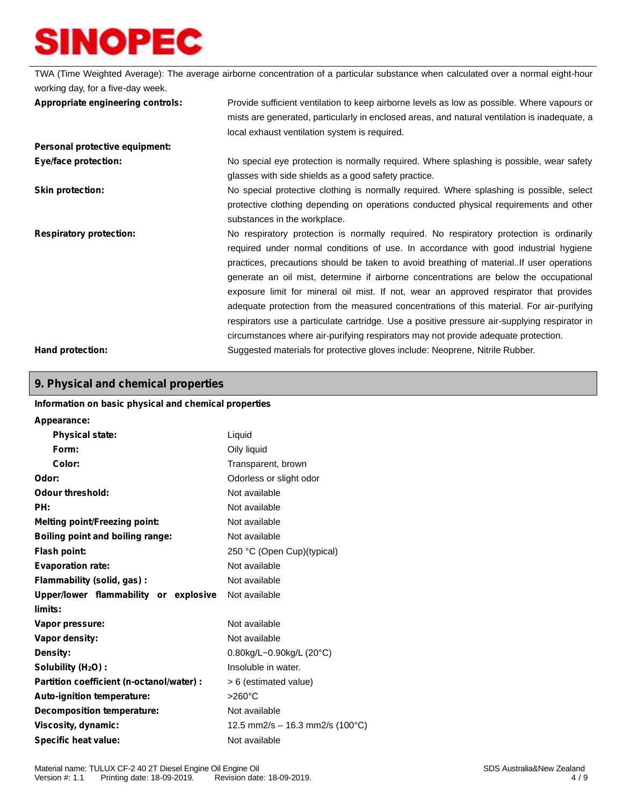TWA (Time Weighted Average): The average airborne concentration of a particular substance when calculated over a normal eight-hour working day, for a five-day week. **Appropriate engineering controls:** Provide sufficient ventilation to keep airborne levels as low as possible. Where vapours or mists are generated, particularly in enclosed areas, and natural ventilation is inadequate, a local exhaust ventilation system is required. **Personal protective equipment: Eye/face protection:** No special eye protection is normally required. Where splashing is possible, wear safety glasses with side shields as a good safety practice. **Skin protection:** No special protective clothing is normally required. Where splashing is possible, select protective clothing depending on operations conducted physical requirements and other substances in the workplace. **Respiratory protection:** No respiratory protection is normally required. No respiratory protection is ordinarily required under normal conditions of use. In accordance with good industrial hygiene practices, precautions should be taken to avoid breathing of material..If user operations generate an oil mist, determine if airborne concentrations are below the occupational exposure limit for mineral oil mist. If not, wear an approved respirator that provides adequate protection from the measured concentrations of this material. For air-purifying respirators use a particulate cartridge. Use a positive pressure air-supplying respirator in circumstances where air-purifying respirators may not provide adequate protection. **Hand protection:** Suggested materials for protective gloves include: Neoprene, Nitrile Rubber.

## **9. Physical and chemical properties**

## **Information on basic physical and chemical properties Appearance: Physical state:** Liquid **Form:** Oily liquid **Color:** Transparent, brown **Odor:** Odorless or slight odor **Odour threshold:** Not available **PH:** Not available **Melting point/Freezing point:** Not available **Boiling point and boiling range:** Not available **Flash point:** 250 °C (Open Cup)(typical) **Evaporation rate:** Not available **Flammability (solid, gas) :** Not available **Upper/lower flammability or explosive limits:** Not available **Vapor pressure:** Not available **Vapor density:** Not available **Density:** 0.80kg/L~0.90kg/L (20°C) **Solubility (H2O) :** Insoluble in water. **Partition coefficient (n-octanol/water) :** > 6 (estimated value) Auto-ignition temperature:  $>260^{\circ}$ C **Decomposition temperature:** Not available **Viscosity, dynamic:** 12.5 mm2/s – 16.3 mm2/s (100°C) **Specific heat value:** Not available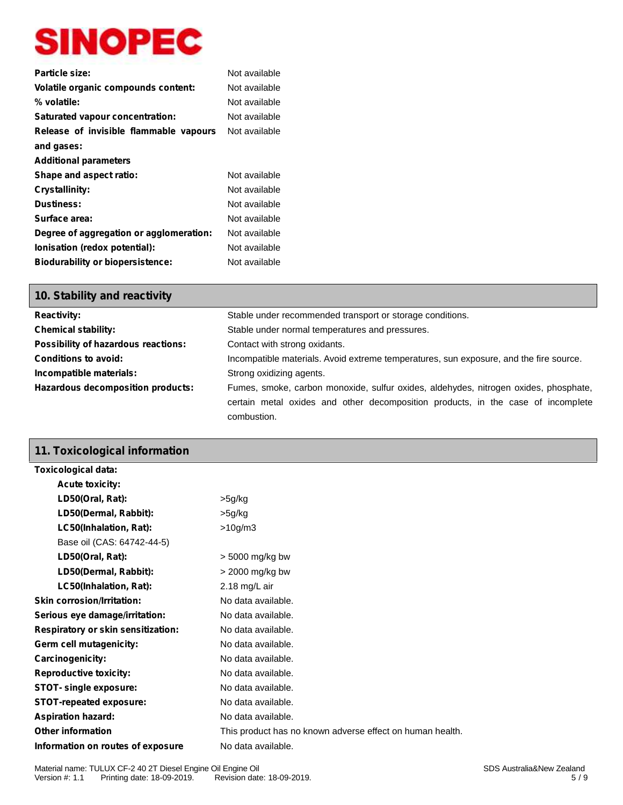| Particle size:                          | Not available |
|-----------------------------------------|---------------|
| Volatile organic compounds content:     | Not available |
| % volatile:                             | Not available |
| <b>Saturated vapour concentration:</b>  | Not available |
| Release of invisible flammable vapours  | Not available |
| and gases:                              |               |
| <b>Additional parameters</b>            |               |
| Shape and aspect ratio:                 | Not available |
| Crystallinity:                          | Not available |
| <b>Dustiness:</b>                       | Not available |
| Surface area:                           | Not available |
| Degree of aggregation or agglomeration: | Not available |
| lonisation (redox potential):           | Not available |
| <b>Biodurability or biopersistence:</b> | Not available |

## **10. Stability and reactivity**

| <b>Reactivity:</b>                  | Stable under recommended transport or storage conditions.                              |  |  |
|-------------------------------------|----------------------------------------------------------------------------------------|--|--|
| <b>Chemical stability:</b>          | Stable under normal temperatures and pressures.                                        |  |  |
| Possibility of hazardous reactions: | Contact with strong oxidants.                                                          |  |  |
| <b>Conditions to avoid:</b>         | Incompatible materials. Avoid extreme temperatures, sun exposure, and the fire source. |  |  |
| Incompatible materials:             | Strong oxidizing agents.                                                               |  |  |
| Hazardous decomposition products:   | Fumes, smoke, carbon monoxide, sulfur oxides, aldehydes, nitrogen oxides, phosphate,   |  |  |
|                                     | certain metal oxides and other decomposition products, in the case of incomplete       |  |  |
|                                     | combustion.                                                                            |  |  |

## **11. Toxicological information**

| Toxicological data:                |                                                           |
|------------------------------------|-----------------------------------------------------------|
| <b>Acute toxicity:</b>             |                                                           |
| LD50(Oral, Rat):                   | >5g/kg                                                    |
| LD50(Dermal, Rabbit):              | >5g/kg                                                    |
| LC50(Inhalation, Rat):             | >10 <sub>g</sub> /m3                                      |
| Base oil (CAS: 64742-44-5)         |                                                           |
| LD50(Oral, Rat):                   | > 5000 mg/kg bw                                           |
| LD50(Dermal, Rabbit):              | > 2000 mg/kg bw                                           |
| LC50(Inhalation, Rat):             | 2.18 mg/L air                                             |
| <b>Skin corrosion/Irritation:</b>  | No data available.                                        |
| Serious eye damage/irritation:     | No data available.                                        |
| Respiratory or skin sensitization: | No data available.                                        |
| Germ cell mutagenicity:            | No data available.                                        |
| Carcinogenicity:                   | No data available.                                        |
| <b>Reproductive toxicity:</b>      | No data available.                                        |
| <b>STOT-</b> single exposure:      | No data available.                                        |
| <b>STOT-repeated exposure:</b>     | No data available.                                        |
| <b>Aspiration hazard:</b>          | No data available.                                        |
| <b>Other information</b>           | This product has no known adverse effect on human health. |
| Information on routes of exposure  | No data available.                                        |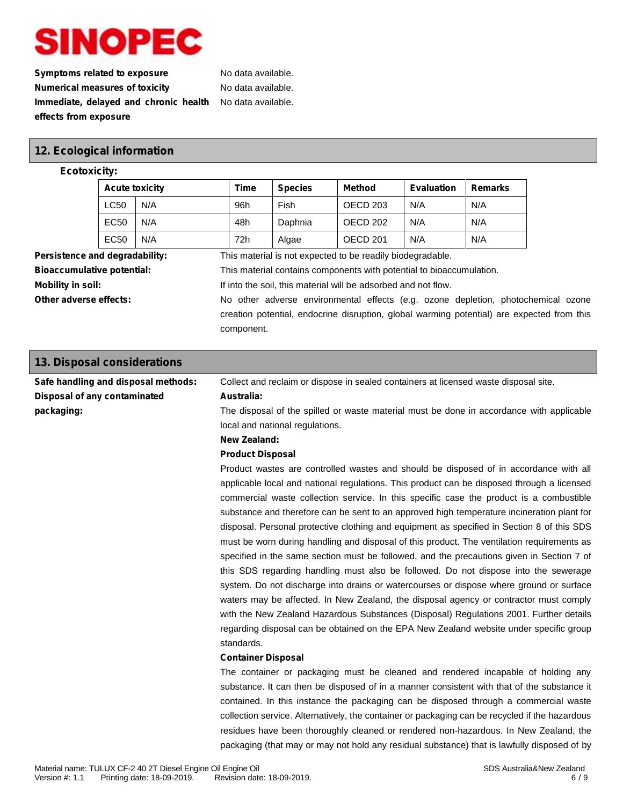**Symptoms related to exposure** No data available. **Numerical measures of toxicity** No data available. **Immediate, delayed and chronic health effects from exposure**

No data available.

## **12. Ecological information**

#### **Ecotoxicity:**

|                                | <b>Acute toxicity</b> |     | <b>Time</b> | <b>Species</b> | Method                                                     | <b>Evaluation</b> | <b>Remarks</b> |
|--------------------------------|-----------------------|-----|-------------|----------------|------------------------------------------------------------|-------------------|----------------|
|                                | <b>LC50</b>           | N/A | 96h         | Fish           | OECD 203                                                   | N/A               | N/A            |
|                                | EC <sub>50</sub>      | N/A | 48h         | Daphnia        | OECD 202                                                   | N/A               | N/A            |
|                                | EC <sub>50</sub>      | N/A | 72h         | Algae          | OECD 201                                                   | N/A               | N/A            |
| Persistence and degradability: |                       |     |             |                | This material is not expected to be readily biodegradable. |                   |                |

**Bioaccumulative potential:** This material contains components with potential to bioaccumulation.

**Mobility in soil:** If into the soil, this material will be adsorbed and not flow.

**Other adverse effects:** No other adverse environmental effects (e.g. ozone depletion, photochemical ozone creation potential, endocrine disruption, global warming potential) are expected from this component.

packaging (that may or may not hold any residual substance) that is lawfully disposed of by

| 13. Disposal considerations         |                                                                                                |  |  |
|-------------------------------------|------------------------------------------------------------------------------------------------|--|--|
| Safe handling and disposal methods: | Collect and reclaim or dispose in sealed containers at licensed waste disposal site.           |  |  |
| Disposal of any contaminated        | Australia:                                                                                     |  |  |
| packaging:                          | The disposal of the spilled or waste material must be done in accordance with applicable       |  |  |
|                                     | local and national regulations.                                                                |  |  |
|                                     | <b>New Zealand:</b>                                                                            |  |  |
|                                     | <b>Product Disposal</b>                                                                        |  |  |
|                                     | Product wastes are controlled wastes and should be disposed of in accordance with all          |  |  |
|                                     | applicable local and national regulations. This product can be disposed through a licensed     |  |  |
|                                     | commercial waste collection service. In this specific case the product is a combustible        |  |  |
|                                     | substance and therefore can be sent to an approved high temperature incineration plant for     |  |  |
|                                     | disposal. Personal protective clothing and equipment as specified in Section 8 of this SDS     |  |  |
|                                     | must be worn during handling and disposal of this product. The ventilation requirements as     |  |  |
|                                     | specified in the same section must be followed, and the precautions given in Section 7 of      |  |  |
|                                     | this SDS regarding handling must also be followed. Do not dispose into the sewerage            |  |  |
|                                     | system. Do not discharge into drains or watercourses or dispose where ground or surface        |  |  |
|                                     | waters may be affected. In New Zealand, the disposal agency or contractor must comply          |  |  |
|                                     | with the New Zealand Hazardous Substances (Disposal) Regulations 2001. Further details         |  |  |
|                                     | regarding disposal can be obtained on the EPA New Zealand website under specific group         |  |  |
|                                     | standards.                                                                                     |  |  |
|                                     | <b>Container Disposal</b>                                                                      |  |  |
|                                     | The container or packaging must be cleaned and rendered incapable of holding any               |  |  |
|                                     | substance. It can then be disposed of in a manner consistent with that of the substance it     |  |  |
|                                     | contained. In this instance the packaging can be disposed through a commercial waste           |  |  |
|                                     | collection service. Alternatively, the container or packaging can be recycled if the hazardous |  |  |
|                                     | residues have been thoroughly cleaned or rendered non-hazardous. In New Zealand, the           |  |  |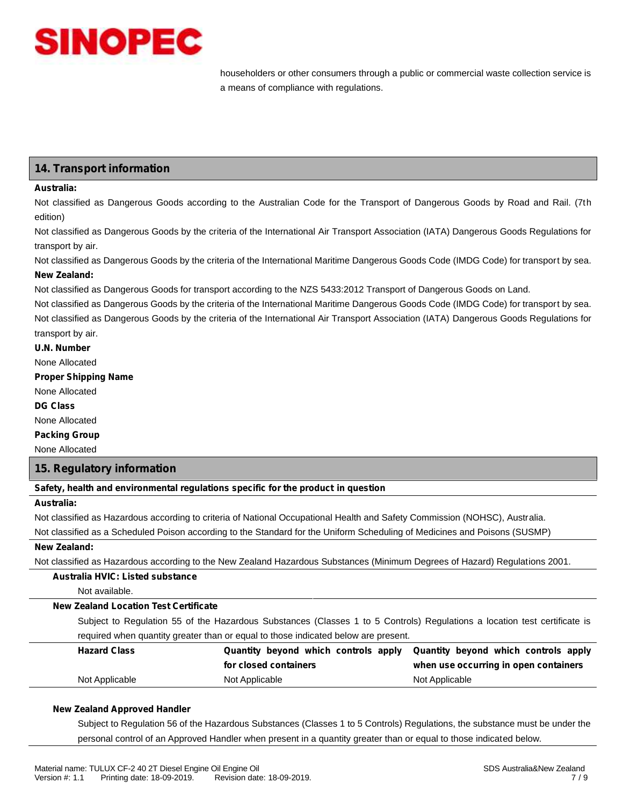

householders or other consumers through a public or commercial waste collection service is a means of compliance with regulations.

## **14. Transport information**

#### **Australia:**

Not classified as Dangerous Goods according to the Australian Code for the Transport of Dangerous Goods by Road and Rail. (7th edition)

Not classified as Dangerous Goods by the criteria of the International Air Transport Association (IATA) Dangerous Goods Regulations for transport by air.

Not classified as Dangerous Goods by the criteria of the International Maritime Dangerous Goods Code (IMDG Code) for transport by sea. **New Zealand:**

Not classified as Dangerous Goods for transport according to the NZS 5433:2012 Transport of Dangerous Goods on Land.

Not classified as Dangerous Goods by the criteria of the International Maritime Dangerous Goods Code (IMDG Code) for transport by sea. Not classified as Dangerous Goods by the criteria of the International Air Transport Association (IATA) Dangerous Goods Regulations for transport by air.

**U.N. Number**

None Allocated

**Proper Shipping Name**

None Allocated

**DG Class**

None Allocated

**Packing Group**

None Allocated

### **15. Regulatory information**

**Safety, health and environmental regulations specific for the product in question**

### **Australia:**

Not classified as Hazardous according to criteria of National Occupational Health and Safety Commission (NOHSC), Australia.

Not classified as a Scheduled Poison according to the Standard for the Uniform Scheduling of Medicines and Poisons (SUSMP)

#### **New Zealand:**

Not classified as Hazardous according to the New Zealand Hazardous Substances (Minimum Degrees of Hazard) Regulations 2001.

### **Australia HVIC: Listed substance**

Not available.

#### **New Zealand Location Test Certificate**

Subject to Regulation 55 of the Hazardous Substances (Classes 1 to 5 Controls) Regulations a location test certificate is required when quantity greater than or equal to those indicated below are present.

| <b>Hazard Class</b> |                       | Quantity beyond which controls apply Quantity beyond which controls apply |
|---------------------|-----------------------|---------------------------------------------------------------------------|
|                     | for closed containers | when use occurring in open containers                                     |
| Not Applicable      | Not Applicable        | Not Applicable                                                            |

#### **New Zealand Approved Handler**

Subject to Regulation 56 of the Hazardous Substances (Classes 1 to 5 Controls) Regulations, the substance must be under the personal control of an Approved Handler when present in a quantity greater than or equal to those indicated below.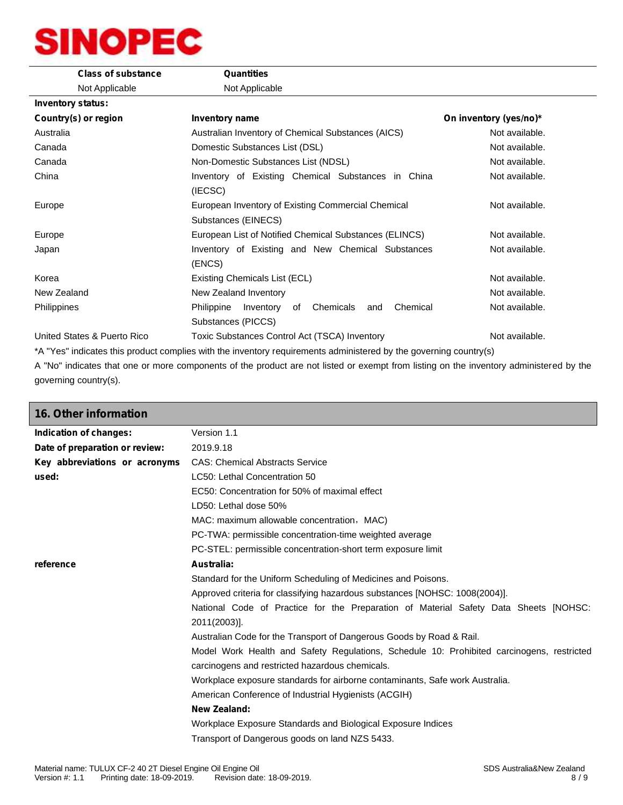| <b>Class of substance</b>   | Quantities                                                                                                        |                        |
|-----------------------------|-------------------------------------------------------------------------------------------------------------------|------------------------|
| Not Applicable              | Not Applicable                                                                                                    |                        |
| <b>Inventory status:</b>    |                                                                                                                   |                        |
| Country(s) or region        | <b>Inventory name</b>                                                                                             | On inventory (yes/no)* |
| Australia                   | Australian Inventory of Chemical Substances (AICS)                                                                | Not available.         |
| Canada                      | Domestic Substances List (DSL)                                                                                    | Not available.         |
| Canada                      | Non-Domestic Substances List (NDSL)                                                                               | Not available.         |
| China                       | Inventory of Existing Chemical Substances in China<br>(IECSC)                                                     | Not available.         |
| Europe                      | European Inventory of Existing Commercial Chemical<br>Substances (EINECS)                                         | Not available.         |
| Europe                      | European List of Notified Chemical Substances (ELINCS)                                                            | Not available.         |
| Japan                       | Inventory of Existing and New Chemical Substances<br>(ENCS)                                                       | Not available.         |
| Korea                       | Existing Chemicals List (ECL)                                                                                     | Not available.         |
| New Zealand                 | New Zealand Inventory                                                                                             | Not available.         |
| <b>Philippines</b>          | Chemicals<br>Chemical<br>Philippine<br>Inventory<br>of<br>and<br>Substances (PICCS)                               | Not available.         |
| United States & Puerto Rico | Toxic Substances Control Act (TSCA) Inventory                                                                     | Not available.         |
|                             | *A "Yes" indicates this product complies with the inventory requirements administered by the governing country(s) |                        |

A "No" indicates that one or more components of the product are not listed or exempt from listing on the inventory administered by the governing country(s).

| Version 1.1                                                                                                                                  |  |
|----------------------------------------------------------------------------------------------------------------------------------------------|--|
| 2019.9.18                                                                                                                                    |  |
| Key abbreviations or acronyms<br><b>CAS: Chemical Abstracts Service</b>                                                                      |  |
| LC50: Lethal Concentration 50                                                                                                                |  |
| EC50: Concentration for 50% of maximal effect                                                                                                |  |
| LD50: Lethal dose 50%                                                                                                                        |  |
| MAC: maximum allowable concentration, MAC)                                                                                                   |  |
| PC-TWA: permissible concentration-time weighted average                                                                                      |  |
| PC-STEL: permissible concentration-short term exposure limit                                                                                 |  |
| Australia:                                                                                                                                   |  |
| Standard for the Uniform Scheduling of Medicines and Poisons.                                                                                |  |
| Approved criteria for classifying hazardous substances [NOHSC: 1008(2004)].                                                                  |  |
| National Code of Practice for the Preparation of Material Safety Data Sheets [NOHSC:<br>2011(2003)].                                         |  |
| Australian Code for the Transport of Dangerous Goods by Road & Rail.                                                                         |  |
| Model Work Health and Safety Regulations, Schedule 10: Prohibited carcinogens, restricted<br>carcinogens and restricted hazardous chemicals. |  |
| Workplace exposure standards for airborne contaminants, Safe work Australia.                                                                 |  |
| American Conference of Industrial Hygienists (ACGIH)                                                                                         |  |
| New Zealand:                                                                                                                                 |  |
| Workplace Exposure Standards and Biological Exposure Indices                                                                                 |  |
| Transport of Dangerous goods on land NZS 5433.                                                                                               |  |
|                                                                                                                                              |  |